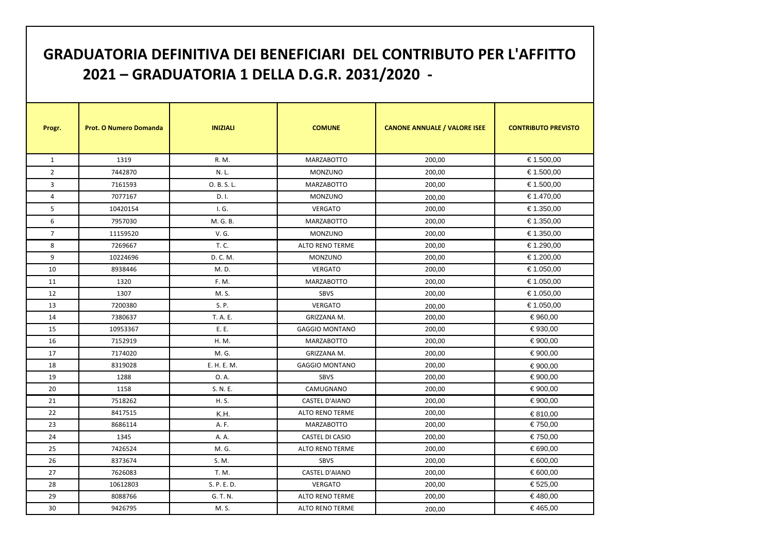| <b>GRADUATORIA DEFINITIVA DEI BENEFICIARI DEL CONTRIBUTO PER L'AFFITTO</b><br>2021 - GRADUATORIA 1 DELLA D.G.R. 2031/2020 - |                               |                 |                        |                                     |                            |  |  |
|-----------------------------------------------------------------------------------------------------------------------------|-------------------------------|-----------------|------------------------|-------------------------------------|----------------------------|--|--|
| Progr.                                                                                                                      | <b>Prot. O Numero Domanda</b> | <b>INIZIALI</b> | <b>COMUNE</b>          | <b>CANONE ANNUALE / VALORE ISEE</b> | <b>CONTRIBUTO PREVISTO</b> |  |  |
| $\mathbf{1}$                                                                                                                | 1319                          | R. M.           | <b>MARZABOTTO</b>      | 200,00                              | € 1.500,00                 |  |  |
| $\overline{2}$                                                                                                              | 7442870                       | N.L.            | <b>MONZUNO</b>         | 200,00                              | € 1.500,00                 |  |  |
| 3                                                                                                                           | 7161593                       | O. B. S. L.     | <b>MARZABOTTO</b>      | 200,00                              | € 1.500,00                 |  |  |
| 4                                                                                                                           | 7077167                       | D. I.           | <b>MONZUNO</b>         | 200,00                              | € 1.470,00                 |  |  |
| 5                                                                                                                           | 10420154                      | I. G.           | <b>VERGATO</b>         | 200,00                              | € 1.350,00                 |  |  |
| 6                                                                                                                           | 7957030                       | M. G. B.        | <b>MARZABOTTO</b>      | 200,00                              | € 1.350,00                 |  |  |
| $\overline{7}$                                                                                                              | 11159520                      | V. G.           | MONZUNO                | 200,00                              | € 1.350,00                 |  |  |
| 8                                                                                                                           | 7269667                       | T. C.           | <b>ALTO RENO TERME</b> | 200,00                              | € 1.290,00                 |  |  |
| 9                                                                                                                           | 10224696                      | D. C. M.        | <b>MONZUNO</b>         | 200,00                              | € 1.200,00                 |  |  |
| 10                                                                                                                          | 8938446                       | M. D.           | <b>VERGATO</b>         | 200,00                              | € 1.050,00                 |  |  |
| 11                                                                                                                          | 1320                          | F. M.           | <b>MARZABOTTO</b>      | 200,00                              | € 1.050,00                 |  |  |
| 12                                                                                                                          | 1307                          | M. S.           | SBVS                   | 200,00                              | € 1.050,00                 |  |  |
| 13                                                                                                                          | 7200380                       | S. P.           | <b>VERGATO</b>         | 200,00                              | € 1.050,00                 |  |  |
| 14                                                                                                                          | 7380637                       | T. A. E.        | GRIZZANA M.            | 200,00                              | € 960,00                   |  |  |
| 15                                                                                                                          | 10953367                      | E. E.           | <b>GAGGIO MONTANO</b>  | 200,00                              | € 930,00                   |  |  |
| 16                                                                                                                          | 7152919                       | H. M.           | <b>MARZABOTTO</b>      | 200,00                              | € 900,00                   |  |  |
| 17                                                                                                                          | 7174020                       | M. G.           | GRIZZANA M.            | 200,00                              | € 900,00                   |  |  |
| 18                                                                                                                          | 8319028                       | E. H. E. M.     | <b>GAGGIO MONTANO</b>  | 200,00                              | € 900,00                   |  |  |
| 19                                                                                                                          | 1288                          | O. A.           | <b>SBVS</b>            | 200,00                              | € 900,00                   |  |  |
| 20                                                                                                                          | 1158                          | S. N. E.        | CAMUGNANO              | 200,00                              | € 900,00                   |  |  |
| 21                                                                                                                          | 7518262                       | H. S.           | <b>CASTEL D'AIANO</b>  | 200,00                              | € 900,00                   |  |  |
| 22                                                                                                                          | 8417515                       | K.H.            | <b>ALTO RENO TERME</b> | 200,00                              | € 810,00                   |  |  |
| 23                                                                                                                          | 8686114                       | A. F.           | <b>MARZABOTTO</b>      | 200,00                              | € 750,00                   |  |  |
| 24                                                                                                                          | 1345                          | A. A.           | <b>CASTEL DI CASIO</b> | 200,00                              | € 750,00                   |  |  |
| 25                                                                                                                          | 7426524                       | M. G.           | ALTO RENO TERME        | 200,00                              | € 690,00                   |  |  |
| 26                                                                                                                          | 8373674                       | S. M.           | <b>SBVS</b>            | 200,00                              | € 600,00                   |  |  |
| 27                                                                                                                          | 7626083                       | T. M.           | <b>CASTEL D'AIANO</b>  | 200,00                              | € 600,00                   |  |  |
| 28                                                                                                                          | 10612803                      | S. P. E. D.     | <b>VERGATO</b>         | 200,00                              | € 525,00                   |  |  |
| 29                                                                                                                          | 8088766                       | G. T. N.        | <b>ALTO RENO TERME</b> | 200,00                              | €480,00                    |  |  |
| 30                                                                                                                          | 9426795                       | M. S.           | <b>ALTO RENO TERME</b> | 200,00                              | €465,00                    |  |  |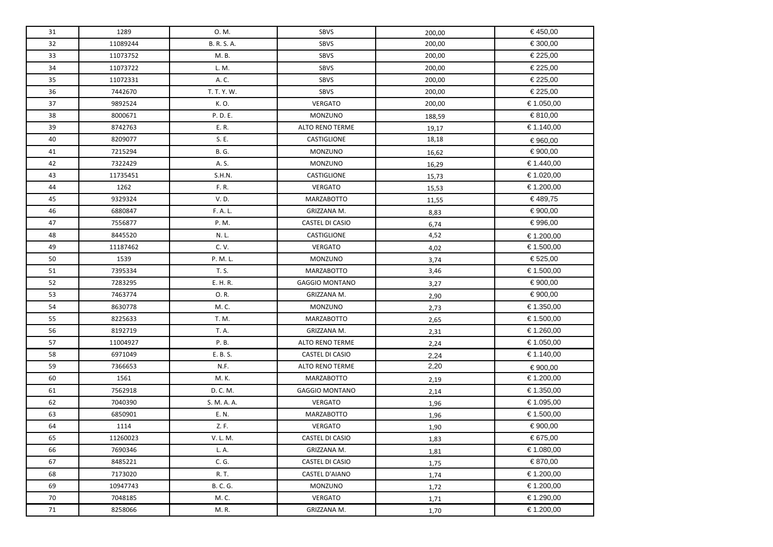| 31 | 1289     | 0. M.        | <b>SBVS</b>            | 200,00 | €450,00    |
|----|----------|--------------|------------------------|--------|------------|
| 32 | 11089244 | B. R. S. A.  | SBVS                   | 200,00 | € 300,00   |
| 33 | 11073752 | M. B.        | SBVS                   | 200,00 | € 225,00   |
| 34 | 11073722 | L. M.        | SBVS                   | 200,00 | € 225,00   |
| 35 | 11072331 | A. C.        | SBVS                   | 200,00 | € 225,00   |
| 36 | 7442670  | T. T. Y. W.  | SBVS                   | 200,00 | € 225,00   |
| 37 | 9892524  | K.O.         | VERGATO                | 200,00 | € 1.050,00 |
| 38 | 8000671  | P. D. E.     | MONZUNO                | 188,59 | € 810,00   |
| 39 | 8742763  | E.R.         | <b>ALTO RENO TERME</b> | 19,17  | € 1.140,00 |
| 40 | 8209077  | S. E.        | CASTIGLIONE            | 18,18  | € 960,00   |
| 41 | 7215294  | <b>B. G.</b> | MONZUNO                | 16,62  | € 900,00   |
| 42 | 7322429  | A. S.        | MONZUNO                | 16,29  | € 1.440,00 |
| 43 | 11735451 | S.H.N.       | CASTIGLIONE            | 15,73  | € 1.020,00 |
| 44 | 1262     | F. R.        | VERGATO                | 15,53  | € 1.200,00 |
| 45 | 9329324  | V.D.         | <b>MARZABOTTO</b>      | 11,55  | € 489,75   |
| 46 | 6880847  | F. A. L.     | GRIZZANA M.            | 8,83   | € 900,00   |
| 47 | 7556877  | P. M.        | <b>CASTEL DI CASIO</b> | 6,74   | € 996,00   |
| 48 | 8445520  | N.L.         | CASTIGLIONE            | 4,52   | € 1.200,00 |
| 49 | 11187462 | C. V.        | VERGATO                | 4,02   | € 1.500,00 |
| 50 | 1539     | P. M. L.     | MONZUNO                | 3,74   | € 525,00   |
| 51 | 7395334  | T. S.        | <b>MARZABOTTO</b>      | 3,46   | € 1.500,00 |
| 52 | 7283295  | E. H. R.     | <b>GAGGIO MONTANO</b>  | 3,27   | € 900,00   |
| 53 | 7463774  | O.R.         | GRIZZANA M.            | 2,90   | € 900,00   |
| 54 | 8630778  | M.C.         | MONZUNO                | 2,73   | € 1.350,00 |
| 55 | 8225633  | T. M.        | <b>MARZABOTTO</b>      | 2,65   | € 1.500,00 |
| 56 | 8192719  | T. A.        | GRIZZANA M.            | 2,31   | € 1.260,00 |
| 57 | 11004927 | P. B.        | <b>ALTO RENO TERME</b> | 2,24   | € 1.050,00 |
| 58 | 6971049  | E. B. S.     | CASTEL DI CASIO        | 2,24   | € 1.140,00 |
| 59 | 7366653  | N.F.         | <b>ALTO RENO TERME</b> | 2,20   | € 900,00   |
| 60 | 1561     | M. K.        | <b>MARZABOTTO</b>      | 2,19   | € 1.200,00 |
| 61 | 7562918  | D. C. M.     | <b>GAGGIO MONTANO</b>  | 2,14   | € 1.350,00 |
| 62 | 7040390  | S. M. A. A.  | VERGATO                | 1,96   | € 1.095,00 |
| 63 | 6850901  | E. N.        | <b>MARZABOTTO</b>      | 1,96   | € 1.500,00 |
| 64 | 1114     | Z.F.         | VERGATO                | 1,90   | € 900,00   |
| 65 | 11260023 | V. L. M.     | CASTEL DI CASIO        | 1,83   | € 675,00   |
| 66 | 7690346  | L. A.        | GRIZZANA M.            | 1,81   | € 1.080,00 |
| 67 | 8485221  | C. G.        | CASTEL DI CASIO        | 1,75   | € 870,00   |
| 68 | 7173020  | R. T.        | <b>CASTEL D'AIANO</b>  | 1,74   | € 1.200,00 |
| 69 | 10947743 | B. C. G.     | MONZUNO                | 1,72   | € 1.200,00 |
| 70 | 7048185  | M. C.        | VERGATO                | 1,71   | € 1.290,00 |
| 71 | 8258066  | M.R.         | GRIZZANA M.            | 1,70   | € 1.200,00 |